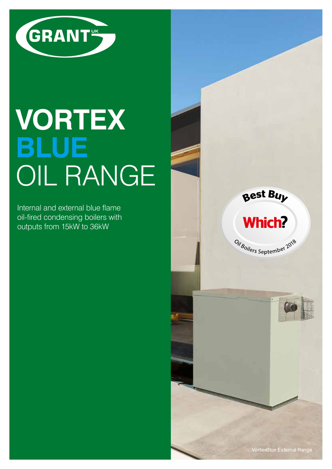

# **VORTEX BLUE** OIL RANGE

Internal and external blue flame oil-fired condensing boilers with outputs from 15kW to 36kW





Oil<sub>Boilers</sub> September 2018

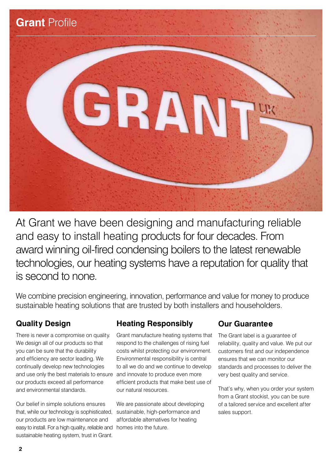

At Grant we have been designing and manufacturing reliable and easy to install heating products for four decades. From award winning oil-fired condensing boilers to the latest renewable technologies, our heating systems have a reputation for quality that is second to none.

We combine precision engineering, innovation, performance and value for money to produce sustainable heating solutions that are trusted by both installers and householders.

## **Quality Design**

and use only the best materials to ensure and innovate to produce even more There is never a compromise on quality. We design all of our products so that you can be sure that the durability and efficiency are sector leading. We continually develop new technologies our products exceed all performance and environmental standards.

easy to install. For a high quality, reliable and homes into the future. Our belief in simple solutions ensures that, while our technology is sophisticated, our products are low maintenance and sustainable heating system, trust in Grant.

## **Heating Responsibly**

Grant manufacture heating systems that respond to the challenges of rising fuel costs whilst protecting our environment. Environmental responsibility is central to all we do and we continue to develop efficient products that make best use of our natural resources.

We are passionate about developing sustainable, high-performance and affordable alternatives for heating

## **Our Guarantee**

The Grant label is a guarantee of reliability, quality and value. We put our customers first and our independence ensures that we can monitor our standards and processes to deliver the very best quality and service.

That's why, when you order your system from a Grant stockist, you can be sure of a tailored service and excellent after sales support.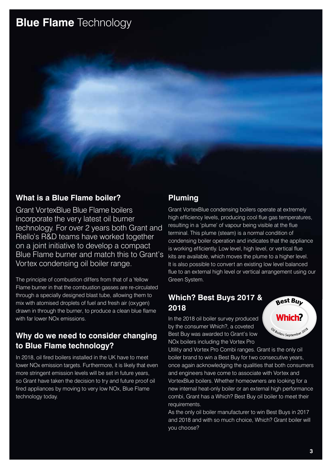## **Blue Flame** Technology

### **What is a Blue Flame boiler?**

Grant VortexBlue Blue Flame boilers incorporate the very latest oil burner technology. For over 2 years both Grant and Riello's R&D teams have worked together on a joint initiative to develop a compact Blue Flame burner and match this to Grant's Vortex condensing oil boiler range.

The principle of combustion differs from that of a Yellow Flame burner in that the combustion gasses are re-circulated through a specially designed blast tube, allowing them to mix with atomised droplets of fuel and fresh air (oxygen) drawn in through the burner, to produce a clean blue flame with far lower NOx emissions.

## **Why do we need to consider changing to Blue Flame technology?**

In 2018, oil fired boilers installed in the UK have to meet lower NOx emission targets. Furthermore, it is likely that even more stringent emission levels will be set in future years, so Grant have taken the decision to try and future proof oil fired appliances by moving to very low NOx, Blue Flame technology today.

## **Pluming**

Grant VortexBlue condensing boilers operate at extremely high efficiency levels, producing cool flue gas temperatures, resulting in a 'plume' of vapour being visible at the flue terminal. This plume (steam) is a normal condition of condensing boiler operation and indicates that the appliance is working efficiently. Low level, high level, or vertical flue kits are available, which moves the plume to a higher level. It is also possible to convert an existing low level balanced flue to an external high level or vertical arrangement using our Green System.

## **Which? Best Buys 2017 & 2018**

In the 2018 oil boiler survey produced by the consumer Which?, a coveted Best Buy was awarded to Grant's low NOx boilers including the Vortex Pro

Utility and Vortex Pro Combi ranges. Grant is the only oil boiler brand to win a Best Buy for two consecutive years, once again acknowledging the qualities that both consumers and engineers have come to associate with Vortex and VortexBlue boilers. Whether homeowners are looking for a new internal heat-only boiler or an external high performance combi, Grant has a Which? Best Buy oil boiler to meet their requirements.

As the only oil boiler manufacturer to win Best Buys in 2017 and 2018 and with so much choice, Which? Grant boiler will you choose?

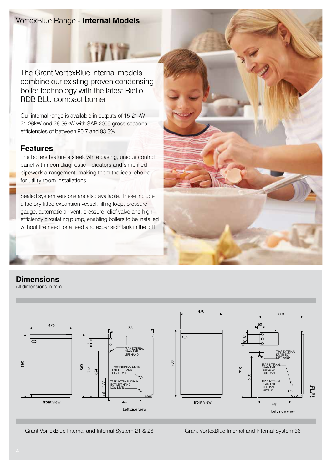## VortexBlue Range - **Internal Models**

The Grant VortexBlue internal models combine our existing proven condensing boiler technology with the latest Riello RDB BLU compact burner.

Our internal range is available in outputs of 15-21kW, 21-26kW and 26-36kW with SAP 2009 gross seasonal efficiencies of between 90.7 and 93.3%.

## **Features**

The boilers feature a sleek white casing, unique control panel with neon diagnostic indicators and simplified pipework arrangement, making them the ideal choice for utility room installations.

Sealed system versions are also available. These include a factory fitted expansion vessel, filling loop, pressure gauge, automatic air vent, pressure relief valve and high efficiency circulating pump, enabling boilers to be installed without the need for a feed and expansion tank in the loft.



## **Dimensions**

All dimensions in mm



Grant VortexBlue Internal and Internal System 21 & 26 Grant VortexBlue Internal and Internal System 36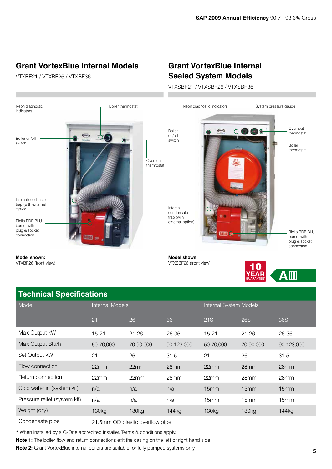GUARANTEE

## **Grant VortexBlue Internal Models**

VTXBF21 / VTXBF26 / VTXBF36

## **Grant VortexBlue Internal Sealed System Models**

VTXSBF21 / VTXSBF26 / VTXSBF36



### **Technical Specifications**

| <b>ICOMMODE OPCOMMOTION</b>  |                        |                   |                   |                        |                   |                  |  |
|------------------------------|------------------------|-------------------|-------------------|------------------------|-------------------|------------------|--|
| Model                        | <b>Internal Models</b> |                   |                   | Internal System Models |                   |                  |  |
|                              | 21                     | 26                | 36                | 21S                    | <b>26S</b>        | <b>36S</b>       |  |
| Max Output kW                | $15 - 21$              | $21 - 26$         | 26-36             | $15 - 21$              | $21 - 26$         | 26-36            |  |
| Max Output Btu/h             | 50-70,000              | 70-90,000         | 90-123,000        | 50-70,000              | 70-90,000         | 90-123,000       |  |
| Set Output kW                | 21                     | 26                | 31.5              | 21                     | 26                | 31.5             |  |
| Flow connection              | 22mm                   | 22mm              | 28mm              | 22mm                   | 28mm              | 28mm             |  |
| Return connection            | 22mm                   | 22mm              | 28mm              | 22mm                   | 28mm              | 28 <sub>mm</sub> |  |
| Cold water in (system kit)   | n/a                    | n/a               | n/a               | 15 <sub>mm</sub>       | 15mm              | 15mm             |  |
| Pressure relief (system kit) | n/a                    | n/a               | n/a               | 15mm                   | 15 <sub>mm</sub>  | 15mm             |  |
| Weight (dry)                 | 130 <sub>kg</sub>      | 130 <sub>kg</sub> | 144 <sub>kg</sub> | 130 <sub>kg</sub>      | 130 <sub>kg</sub> | 144kg            |  |
|                              |                        |                   |                   |                        |                   |                  |  |

Condensate pipe 21.5mm OD plastic overflow pipe

**\*** When installed by a G-One accredited installer. Terms & conditions apply.

**Note 1:** The boiler flow and return connections exit the casing on the left or right hand side.

**Note 2:** Grant VortexBlue internal boilers are suitable for fully pumped systems only.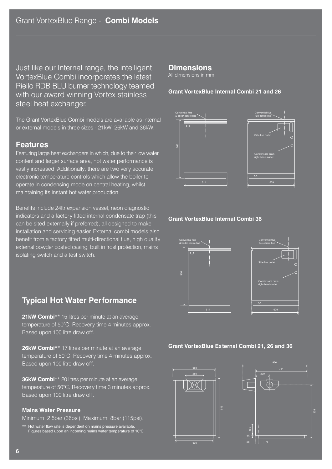Just like our Internal range, the intelligent VortexBlue Combi incorporates the latest Riello RDB BLU burner technology teamed with our award winning Vortex stainless steel heat exchanger.

The Grant VortexBlue Combi models are available as internal or external models in three sizes - 21kW, 26kW and 36kW.

#### **Features**

Featuring large heat exchangers in which, due to their low water content and larger surface area, hot water performance is vastly increased. Additionally, there are two very accurate electronic temperature controls which allow the boiler to operate in condensing mode on central heating, whilst maintaining its instant hot water production.

Benefits include 24ltr expansion vessel, neon diagnostic indicators and a factory fitted internal condensate trap (this can be sited externally if preferred), all designed to make installation and servicing easier. External combi models also benefit from a factory fitted multi-directional flue, high quality external powder coated casing, built in frost protection, mains isolating switch and a test switch.

## **Typical Hot Water Performance**

**21kW Combi**\*\* 15 litres per minute at an average temperature of 50°C. Recovery time 4 minutes approx. Based upon 100 litre draw off.

**26kW Combi**\*\* 17 litres per minute at an average temperature of 50°C. Recovery time 4 minutes approx. Based upon 100 litre draw off.

**36kW Combi**\*\* 20 litres per minute at an average temperature of 50°C. Recovery time 3 minutes approx. Based upon 100 litre draw off.

#### **Mains Water Pressure**

Minimum: 2.5bar (36psi). Maximum: 8bar (115psi).

\*\* Hot water flow rate is dependent on mains pressure available. Figures based upon an incoming mains water temperature of 10°C.

#### **Dimensions**

All dimensions in mm

#### **Grant VortexBlue Internal Combi 21 and 26**



#### **Grant VortexBlue Internal Combi 36**



#### **Grant VortexBlue External Combi 21, 26 and 36**

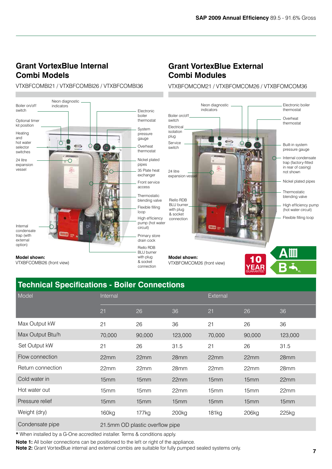## **Grant VortexBlue Internal Combi Models**

#### VTXBFCOMBI21 / VTXBFCOMBI26 / VTXBFCOMBI36



## **Grant VortexBlue External Combi Modules**

VTXBFOMCOM21 / VTXBFOMCOM26 / VTXBFOMCOM36



## **Technical Specifications - Boiler Connections**

| Model             | Internal                        |                  |                   | External         |                  |         |
|-------------------|---------------------------------|------------------|-------------------|------------------|------------------|---------|
|                   | 21                              | 26               | 36                | 21               | 26               | 36      |
| Max Output kW     | 21                              | 26               | 36                | 21               | 26               | 36      |
| Max Output Btu/h  | 70,000                          | 90,000           | 123,000           | 70,000           | 90,000           | 123,000 |
| Set Output kW     | 21                              | 26               | 31.5              | 21               | 26               | 31.5    |
| Flow connection   | 22mm                            | 22mm             | 28mm              | 22mm             | 22mm             | 28mm    |
| Return connection | 22mm                            | 22mm             | 28mm              | 22mm             | 22mm             | 28mm    |
| Cold water in     | 15mm                            | 15 <sub>mm</sub> | 22mm              | 15mm             | 15mm             | 22mm    |
| Hot water out     | 15mm                            | 15mm             | 22mm              | 15 <sub>mm</sub> | 15 <sub>mm</sub> | 22mm    |
| Pressure relief   | 15mm                            | 15mm             | 15mm              | 15mm             | 15mm             | 15mm    |
| Weight (dry)      | 160 <sub>kg</sub>               | 177kg            | 200 <sub>kg</sub> | 181kg            | 206kg            | 225kg   |
| Condensate pipe   | 21.5mm OD plastic overflow pipe |                  |                   |                  |                  |         |

**\*** When installed by a G-One accredited installer. Terms & conditions apply.

**Note 1:** All boiler connections can be positioned to the left or right of the appliance.

**Note 2:** Grant VortexBlue internal and external combis are suitable for fully pumped sealed systems only.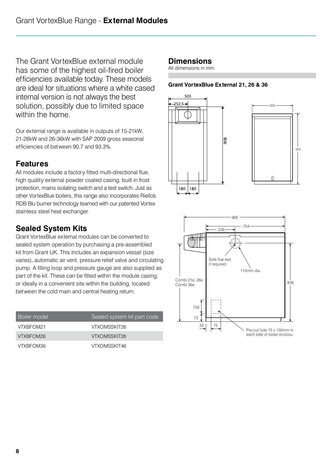The Grant VortexBlue external module has some of the highest oil-fired boiler efficiencies available today. These models are ideal for situations where a white cased internal version is not always the best solution, possibly due to limited space within the home.

Our external range is available in outputs of 15-21kW, 21-26kW and 26-36kW with SAP 2009 gross seasonal efficiencies of between 90.7 and 93.3%.

## **Features**

All modules include a factory fitted multi-directional flue, high quality external powder coated casing, built in frost protection, mains isolating switch and a test switch. Just as other VortexBlue boilers, this range also incorporates Riello's RDB Blu burner technology teamed with our patented Vortex stainless steel heat exchanger.

## **Sealed System Kits**

Grant VortexBlue external modules can be converted to sealed system operation by purchasing a pre-assembled kit from Grant UK. This includes an expansion vessel (size varies), automatic air vent, pressure relief valve and circulating pump. A filling loop and pressure gauge are also supplied as part of the kit. These can be fitted within the module casing, or ideally in a convenient site within the building, located between the cold main and central heating return.

| <b>Boiler model</b> | Sealed system kit part code |
|---------------------|-----------------------------|
| VTXBFOM21           | VTXOMSSKIT26                |
| VTXBFOM26           | VTXOMSSKIT26                |
| VTXBFOM36           | VTXOMSSKIT46                |

## **Dimensions**

All dimensions in mm

#### **Grant VortexBlue External 21, 26 & 36**





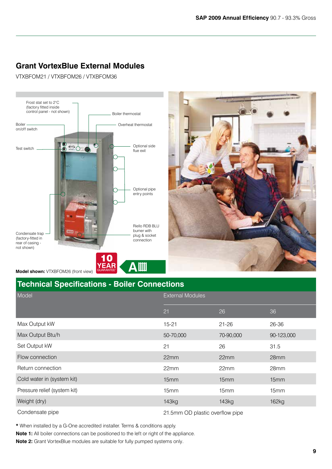## **Grant VortexBlue External Modules**

VTXBFOM21 / VTXBFOM26 / VTXBFOM36





## **Technical Specifications - Boiler Connections**

| Model                        | <b>External Modules</b>         |           |                  |  |
|------------------------------|---------------------------------|-----------|------------------|--|
|                              | 21                              | 26        | 36               |  |
| Max Output kW                | $15 - 21$                       | $21 - 26$ | 26-36            |  |
| Max Output Btu/h             | 50-70,000                       | 70-90,000 | 90-123,000       |  |
| Set Output kW                | 21                              | 26        | 31.5             |  |
| Flow connection              | 22mm                            | 22mm      | 28mm             |  |
| Return connection            | 22mm                            | 22mm      | 28 <sub>mm</sub> |  |
| Cold water in (system kit)   | 15mm                            | 15mm      | 15mm             |  |
| Pressure relief (system kit) | 15 <sub>mm</sub>                | 15mm      | 15 <sub>mm</sub> |  |
| Weight (dry)                 | 143kg                           | 143kg     | 162kg            |  |
| Condensate pipe              | 21.5mm OD plastic overflow pipe |           |                  |  |

**\*** When installed by a G-One accredited installer. Terms & conditions apply.

**Note 1:** All boiler connections can be positioned to the left or right of the appliance.

**Note 2:** Grant VortexBlue modules are suitable for fully pumped systems only.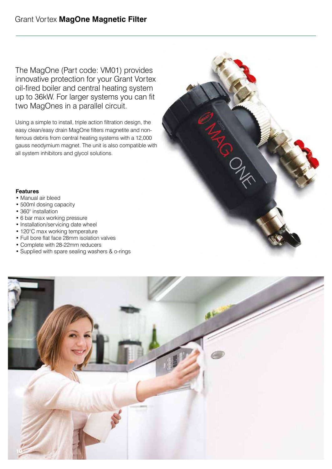The MagOne (Part code: VM01) provides innovative protection for your Grant Vortex oil-fired boiler and central heating system up to 36kW. For larger systems you can fit two MagOnes in a parallel circuit.

Using a simple to install, triple action filtration design, the easy clean/easy drain MagOne filters magnetite and nonferrous debris from central heating systems with a 12,000 gauss neodymium magnet. The unit is also compatible with all system inhibitors and glycol solutions.



#### **Features**

- Manual air bleed
- 500ml dosing capacity
- 360° installation
- 6 bar max working pressure
- Installation/servicing date wheel
- 120°C max working temperature
- Full bore flat face 28mm isolation valves
- Complete with 28-22mm reducers
- Supplied with spare sealing washers & o-rings

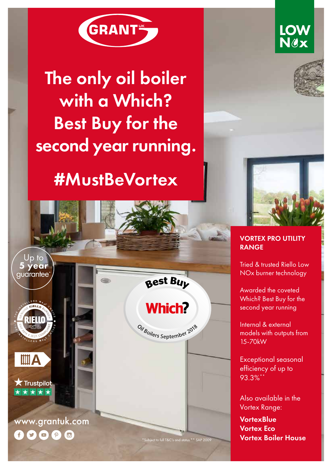

## The only oil boiler with a Which? Best Buy for the second year running.

## #MustBeVortex



**LOW** Nex



### VORTEX PRO UTILITY RANGE

Tried & trusted Riello Low NOx burner technology

Awarded the coveted Which? Best Buy for the second year running

Internal & external models with outputs from 15-70kW

Exceptional seasonal efficiency of up to 93.3%<sup>\*</sup>

Also available in the Vortex Range:

**VortexBlue** Vortex Eco \*Subject to full T&C's and status \*\* SAP 2009 **Vortex Boiler House** 

Best Buy

## **Which?**

Oil<sub>Boilers September 2018</sub>

www.grantuk.com 

Up to 5 year guarantee\*

**IIII** A

 $\bigstar$  Trustpilot ★★★★★